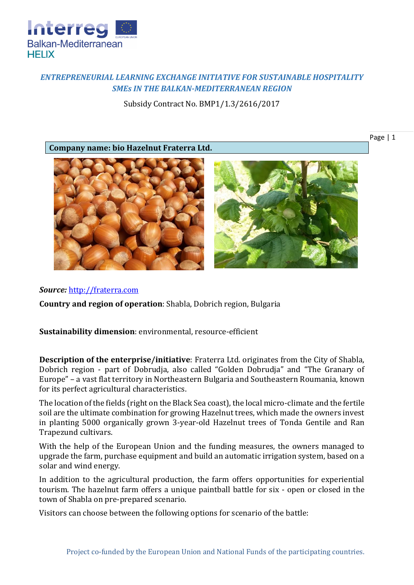

## *ENTREPRENEURIAL LEARNING EXCHANGE INITIATIVE FOR SUSTAINABLE HOSPITALITY SMEs IN THE BALKAN-MEDITERRANEAN REGION*

Subsidy Contract No. BMP1/1.3/2616/2017

**Company name: bio Hazelnut Fraterra Ltd.**



*Source:* [http://fraterra.com](http://fraterra.com/)

**Country and region of operation**: Shabla, Dobrich region, Bulgaria

**Sustainability dimension**: environmental, resource-efficient

**Description of the enterprise/initiative**: Fraterra Ltd. originates from the City of Shabla, Dobrich region - part of Dobrudja, also called "Golden Dobrudja" and "The Granary of Europe" – a vast flat territory in Northeastern Bulgaria and Southeastern Roumania, known for its perfect agricultural characteristics.

The location of the fields (right on the Black Sea coast), the local micro-climate and the fertile soil are the ultimate combination for growing Hazelnut trees, which made the owners invest in planting 5000 organically grown 3-year-old Hazelnut trees of Tonda Gentile and Ran Trapezund cultivars.

With the help of the European Union and the funding measures, the owners managed to upgrade the farm, purchase equipment and build an automatic irrigation system, based on a solar and wind energy.

In addition to the agricultural production, the farm offers opportunities for experiential tourism. The hazelnut farm offers a unique paintball battle for six - open or closed in the town of Shabla on pre-prepared scenario.

Visitors can choose between the following options for scenario of the battle:

Page | 1